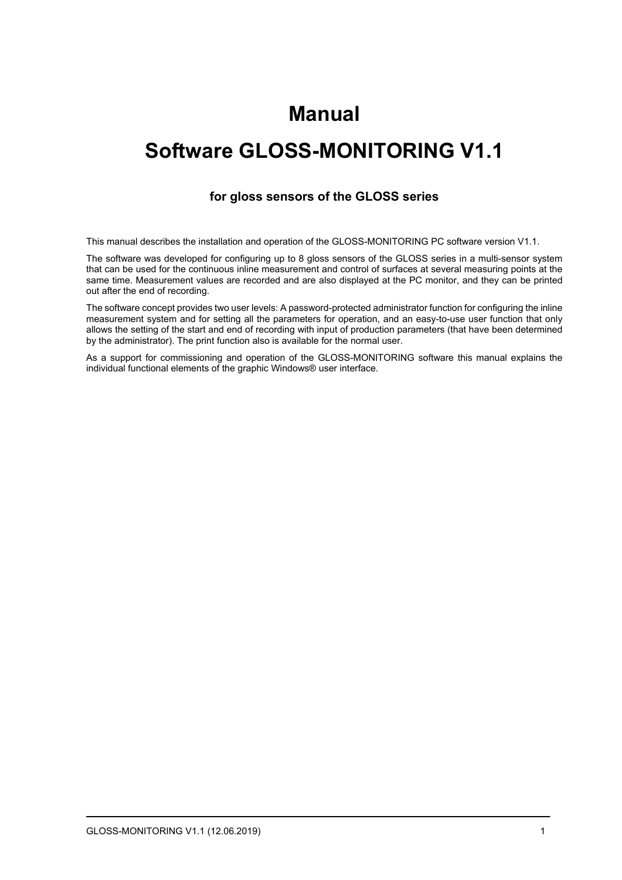# **Manual**

# **Software GLOSS-MONITORING V1.1**

### **for gloss sensors of the GLOSS series**

This manual describes the installation and operation of the GLOSS-MONITORING PC software version V1.1.

The software was developed for configuring up to 8 gloss sensors of the GLOSS series in a multi-sensor system that can be used for the continuous inline measurement and control of surfaces at several measuring points at the same time. Measurement values are recorded and are also displayed at the PC monitor, and they can be printed out after the end of recording.

The software concept provides two user levels: A password-protected administrator function for configuring the inline measurement system and for setting all the parameters for operation, and an easy-to-use user function that only allows the setting of the start and end of recording with input of production parameters (that have been determined by the administrator). The print function also is available for the normal user.

As a support for commissioning and operation of the GLOSS-MONITORING software this manual explains the individual functional elements of the graphic Windows® user interface.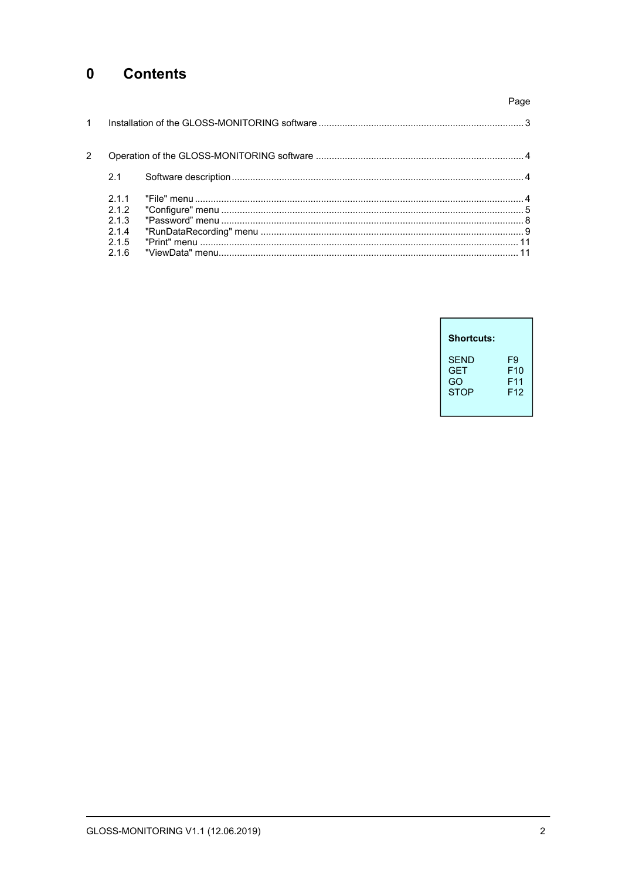#### $\mathbf 0$ **Contents**

|             |                                   | Page |
|-------------|-----------------------------------|------|
| $\mathbf 1$ |                                   |      |
| 2           |                                   |      |
|             | 2.1                               |      |
|             | 211<br>2.1.2<br>213<br>214<br>215 |      |
|             | 216                               |      |

| Shortcuts:  |                 |
|-------------|-----------------|
| <b>SFND</b> | F9              |
| <b>GFT</b>  | F10             |
| GO          | F11             |
| <b>STOP</b> | F <sub>12</sub> |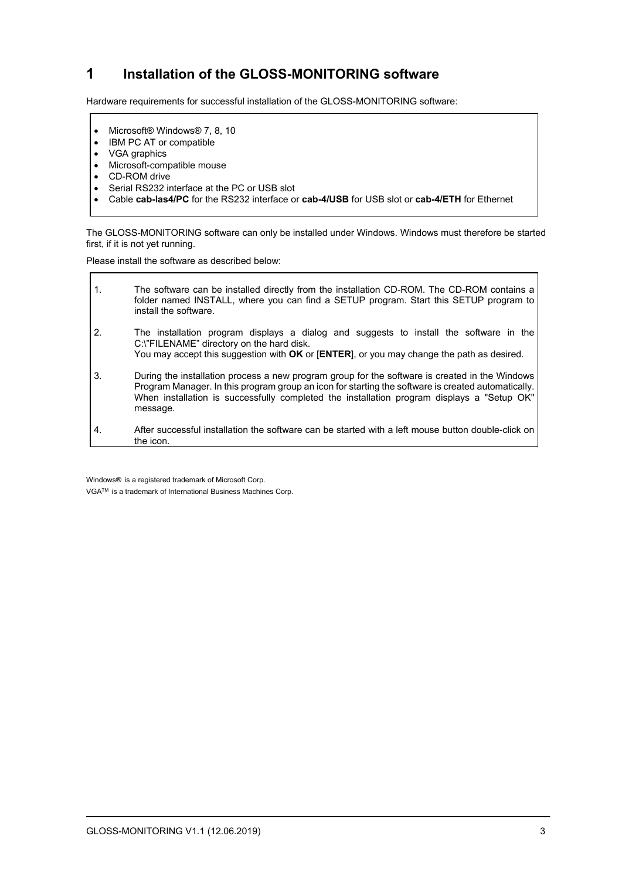# **1 Installation of the GLOSS-MONITORING software**

Hardware requirements for successful installation of the GLOSS-MONITORING software:

- Microsoft® Windows® 7, 8, 10
- IBM PC AT or compatible
- VGA graphics
- Microsoft-compatible mouse
- CD-ROM drive

Г

- Serial RS232 interface at the PC or USB slot
- Cable **cab-las4/PC** for the RS232 interface or **cab-4/USB** for USB slot or **cab-4/ETH** for Ethernet

The GLOSS-MONITORING software can only be installed under Windows. Windows must therefore be started first, if it is not yet running.

Please install the software as described below:

| $\mathbf 1$      | The software can be installed directly from the installation CD-ROM. The CD-ROM contains a<br>folder named INSTALL, where you can find a SETUP program. Start this SETUP program to<br>install the software.                                                                                                   |
|------------------|----------------------------------------------------------------------------------------------------------------------------------------------------------------------------------------------------------------------------------------------------------------------------------------------------------------|
| $\overline{2}$ . | The installation program displays a dialog and suggests to install the software in the<br>C:\"FILENAME" directory on the hard disk.<br>You may accept this suggestion with OK or [ENTER], or you may change the path as desired.                                                                               |
| 3.               | During the installation process a new program group for the software is created in the Windows<br>Program Manager. In this program group an icon for starting the software is created automatically.<br>When installation is successfully completed the installation program displays a "Setup OK"<br>message. |
| 4.               | After successful installation the software can be started with a left mouse button double-click on<br>the icon.                                                                                                                                                                                                |

Windows® is a registered trademark of Microsoft Corp. VGATM is a trademark of International Business Machines Corp. ┑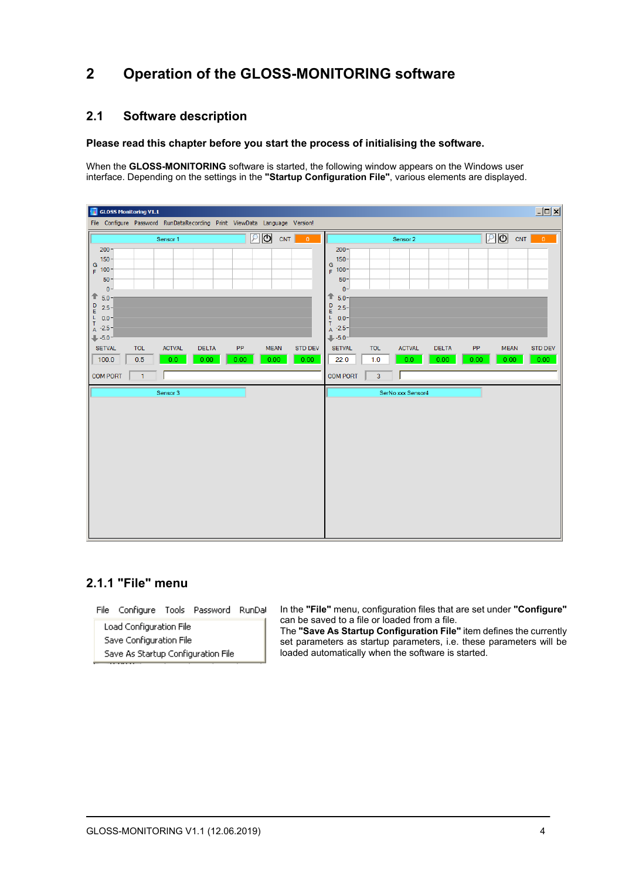# **2 Operation of the GLOSS-MONITORING software**

### **2.1 Software description**

#### **Please read this chapter before you start the process of initialising the software.**

When the **GLOSS-MONITORING** software is started, the following window appears on the Windows user interface. Depending on the settings in the **"Startup Configuration File"**, various elements are displayed.

| GLOSS Monitoring V1.1                                                                                                                                                                                              |                                   |                                   |                      |                   |                                  |     |                        |                                                                                                                                                                                                            |                                     |                      |                      |                   |                     | $\Box$ o $\times$                   |
|--------------------------------------------------------------------------------------------------------------------------------------------------------------------------------------------------------------------|-----------------------------------|-----------------------------------|----------------------|-------------------|----------------------------------|-----|------------------------|------------------------------------------------------------------------------------------------------------------------------------------------------------------------------------------------------------|-------------------------------------|----------------------|----------------------|-------------------|---------------------|-------------------------------------|
| File Configure Password RunDataRecording Print ViewData Language Version!                                                                                                                                          |                                   |                                   |                      |                   |                                  |     |                        |                                                                                                                                                                                                            |                                     |                      |                      |                   |                     |                                     |
|                                                                                                                                                                                                                    |                                   | Sensor 1                          |                      |                   | உடு                              | CNT | $\blacksquare$         |                                                                                                                                                                                                            |                                     | Sensor 2             |                      |                   | $20$ CNT            | $\overline{0}$                      |
| $200 -$<br>$150 -$<br>$\frac{G}{F}$<br>$100 -$<br>$50 -$<br>$0 -$<br>$\uparrow$ 5.0-<br>$\frac{\mathsf{D}}{\mathsf{E}}$<br>$2.5 -$<br>$L = 0.0 -$<br>$\mathsf T$<br>$A -2.5$<br>$+5.0 -$<br><b>SETVAL</b><br>100.0 | <b>TOL</b><br>0.5<br>$\mathbf{1}$ | <b>ACTVAL</b><br>0.0 <sub>1</sub> | <b>DELTA</b><br>0.00 | <b>PP</b><br>0.00 | <b>MEAN</b><br>0.00 <sub>1</sub> |     | <b>STD DEV</b><br>0.00 | $200 -$<br>$150 -$<br>$\frac{G}{F}$<br>$100 -$<br>$50 -$<br>$0 -$<br>⇑<br>$5.0 -$<br>$\frac{D}{E}$<br>$2.5 -$<br>L.<br>$0.0 -$<br>T<br>$A -2.5$<br>$+5.0^{-1}$<br><b>SETVAL</b><br>22.0<br><b>COM PORT</b> | <b>TOL</b><br>1.0<br>$\overline{3}$ | <b>ACTVAL</b><br>0.0 | <b>DELTA</b><br>0.00 | <b>PP</b><br>0.00 | <b>MEAN</b><br>0.00 | <b>STD DEV</b><br>0.00 <sub>1</sub> |
| <b>COM PORT</b>                                                                                                                                                                                                    |                                   |                                   |                      |                   |                                  |     |                        |                                                                                                                                                                                                            |                                     |                      |                      |                   |                     |                                     |
|                                                                                                                                                                                                                    |                                   | Sensor 3                          |                      |                   |                                  |     |                        |                                                                                                                                                                                                            |                                     | SerNo xxx Sensor4    |                      |                   |                     |                                     |

### **2.1.1 "File" menu**

File Configure Tools Password RunDal

Load Configuration File Save Configuration File Save As Startup Configuration File In the **"File"** menu, configuration files that are set under **"Configure"** can be saved to a file or loaded from a file.

The **"Save As Startup Configuration File"** item defines the currently set parameters as startup parameters, i.e. these parameters will be loaded automatically when the software is started.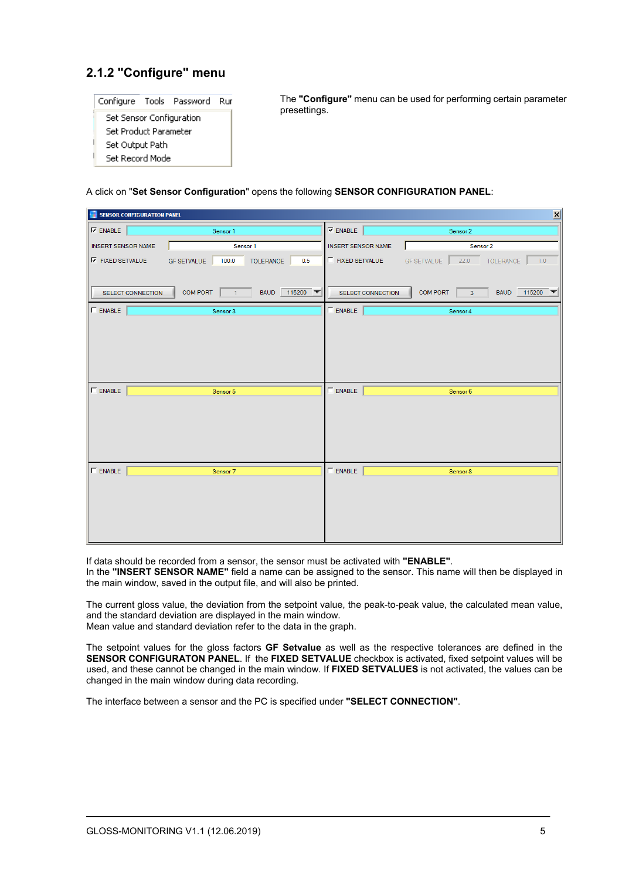# **2.1.2 "Configure" menu**

|                          |  | Configure Tools Password Rui |  |  |  |
|--------------------------|--|------------------------------|--|--|--|
| Set Sensor Configuration |  |                              |  |  |  |
| Set Product Parameter    |  |                              |  |  |  |
| Set Output Path          |  |                              |  |  |  |
| Set Record Mode          |  |                              |  |  |  |

The **"Configure"** menu can be used for performing certain parameter presettings.

A click on "**Set Sensor Configuration**" opens the following **SENSOR CONFIGURATION PANEL**:

| SENSOR CONFIGURATION PANEL |                    |                |                           |             |                       |                   |                    |                |                | $\vert x \vert$ |
|----------------------------|--------------------|----------------|---------------------------|-------------|-----------------------|-------------------|--------------------|----------------|----------------|-----------------|
| $\nabla$ ENABLE            |                    | Sensor 1       |                           |             | $\nabla$ ENABLE       |                   |                    | Sensor 2       |                |                 |
| <b>INSERT SENSOR NAME</b>  | Sensor 1           |                | <b>INSERT SENSOR NAME</b> |             | Sensor 2              |                   |                    |                |                |                 |
| $\nabla$ FIXED SETVALUE    | <b>GF SETVALUE</b> | 100.0          | TOLERANCE                 | 0.5         | <b>FIXED SETVALUE</b> |                   | <b>GF SETVALUE</b> |                | 22.0 TOLERANCE | $\vert$ 1.0     |
|                            |                    |                |                           |             |                       |                   |                    |                |                |                 |
| SELECT CONNECTION          | <b>COM PORT</b>    | $\overline{1}$ |                           | BAUD 115200 |                       | SELECT CONNECTION | <b>COM PORT</b>    | $\overline{3}$ |                | BAUD 115200     |
| $\Gamma$ ENABLE            |                    | Sensor 3       |                           |             | $\Gamma$ ENABLE       |                   |                    | Sensor 4       |                |                 |
|                            |                    |                |                           |             |                       |                   |                    |                |                |                 |
|                            |                    |                |                           |             |                       |                   |                    |                |                |                 |
|                            |                    |                |                           |             |                       |                   |                    |                |                |                 |
|                            |                    |                |                           |             |                       |                   |                    |                |                |                 |
| $\Gamma$ ENABLE            |                    | Sensor 5       |                           |             | $\Gamma$ ENABLE       |                   |                    | Sensor 6       |                |                 |
|                            |                    |                |                           |             |                       |                   |                    |                |                |                 |
|                            |                    |                |                           |             |                       |                   |                    |                |                |                 |
|                            |                    |                |                           |             |                       |                   |                    |                |                |                 |
|                            |                    |                |                           |             |                       |                   |                    |                |                |                 |
| $\Gamma$ ENABLE            |                    | Sensor 7       |                           |             | $\Gamma$ ENABLE       |                   |                    | Sensor 8       |                |                 |
|                            |                    |                |                           |             |                       |                   |                    |                |                |                 |
|                            |                    |                |                           |             |                       |                   |                    |                |                |                 |
|                            |                    |                |                           |             |                       |                   |                    |                |                |                 |
|                            |                    |                |                           |             |                       |                   |                    |                |                |                 |

If data should be recorded from a sensor, the sensor must be activated with **"ENABLE"**. In the **"INSERT SENSOR NAME"** field a name can be assigned to the sensor. This name will then be displayed in the main window, saved in the output file, and will also be printed.

The current gloss value, the deviation from the setpoint value, the peak-to-peak value, the calculated mean value, and the standard deviation are displayed in the main window. Mean value and standard deviation refer to the data in the graph.

The setpoint values for the gloss factors **GF Setvalue** as well as the respective tolerances are defined in the **SENSOR CONFIGURATON PANEL**. If the **FIXED SETVALUE** checkbox is activated, fixed setpoint values will be used, and these cannot be changed in the main window. If **FIXED SETVALUES** is not activated, the values can be changed in the main window during data recording.

The interface between a sensor and the PC is specified under **"SELECT CONNECTION"**.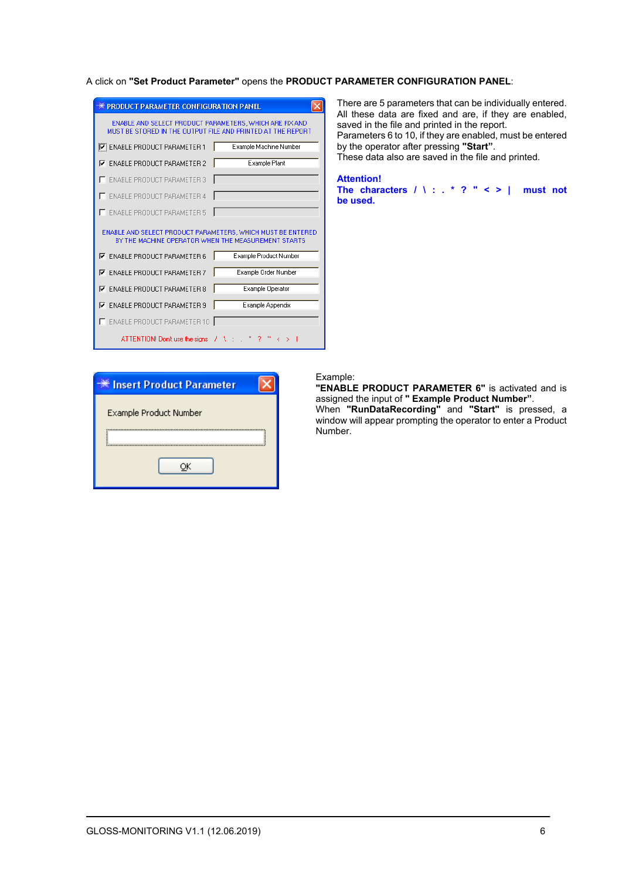#### A click on **"Set Product Parameter"** opens the **PRODUCT PARAMETER CONFIGURATION PANEL**:

| PRODUCT PARAMETER CONFIGURATION PANEL                                                                                  |                        |
|------------------------------------------------------------------------------------------------------------------------|------------------------|
| ENABLE AND SELECT PRODUCT PARAMETERS, WHICH ARE FIX AND<br>MUST BE STORED IN THE OUTPUT FILE AND PRINTED AT THE REPORT |                        |
| I⊽! ENABLE PRODUCT PARAMETER 1                                                                                         | Example Machine Number |
| <b>ENABLE PRODUCT PARAMETER 2</b><br>⊽                                                                                 | <b>Example Plant</b>   |
| <b>ENABLE PRODUCT PARAMETER 3</b>                                                                                      |                        |
| <b>ENABLE PRODUCT PARAMETER 4</b>                                                                                      |                        |
| <b>ENABLE PRODUCT PARAMETER 5</b>                                                                                      |                        |
|                                                                                                                        |                        |
| ENABLE AND SELECT PRODUCT PARAMETERS, WHICH MUST BE ENTERED<br>BY THE MACHINE OPERATOR WHEN THE MEASUREMENT STARTS     |                        |
| <b>V</b> ENABLE PRODUCT PARAMETER 6                                                                                    | Example Product Number |
| <b>ENABLE PRODUCT PARAMETER 7</b><br>⊽                                                                                 | Example Order Number   |
| <b>ENABLE PRODUCT PARAMETER 8</b><br>⊽                                                                                 | Example Operator       |
| <b>ENABLE PRODUCT PARAMETER 9</b><br>⊽                                                                                 | Example Appendix       |
| ENABLE PRODUCT PARAMETER 10                                                                                            |                        |

There are 5 parameters that can be individually entered. All these data are fixed and are, if they are enabled, saved in the file and printed in the report. Parameters 6 to 10, if they are enabled, must be entered by the operator after pressing **"Start"**. These data also are saved in the file and printed.

**Attention! The characters / \ : . \* ? " < > | must not be used.**

| ※ Insert Product Parameter |
|----------------------------|
| Example Product Number     |
|                            |
|                            |
|                            |
|                            |

#### Example:

**"ENABLE PRODUCT PARAMETER 6"** is activated and is assigned the input of **" Example Product Number"**. When **"RunDataRecording"** and **"Start"** is pressed, a window will appear prompting the operator to enter a Product Number.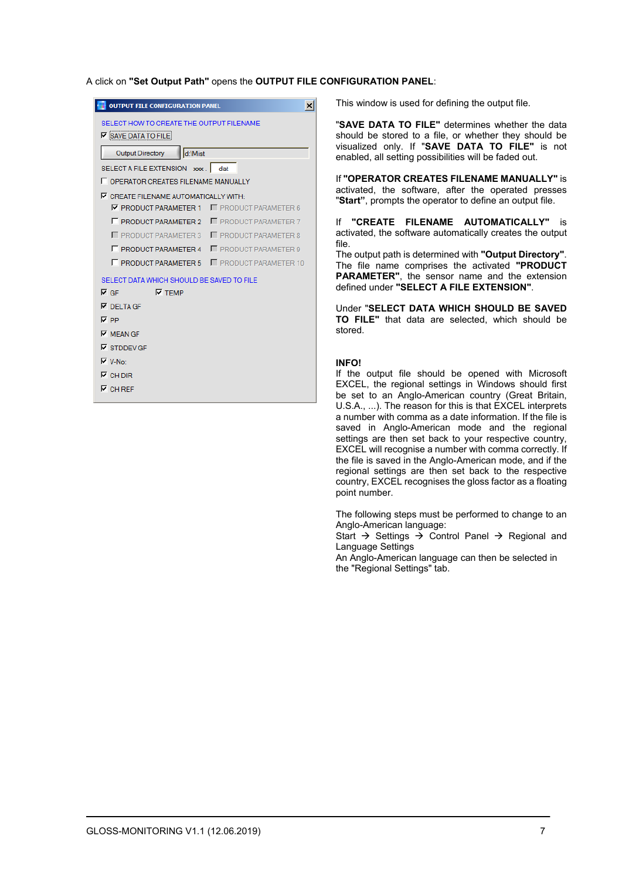A click on **"Set Output Path"** opens the **OUTPUT FILE CONFIGURATION PANEL**:

| <b>OUTPUT FILE CONFIGURATION PANEL</b><br>$\vert x \vert$              |
|------------------------------------------------------------------------|
| SELECT HOW TO CREATE THE OUTPUT FILENAME<br><b>V</b> SAVE DATA TO FILE |
| <b>Output Directory</b><br>d:\Mist                                     |
| SELECT A FILE EXTENSION xxx.<br>dat                                    |
| <b>F</b> OPERATOR CREATES FILENAME MANUALLY                            |
| $\nabla$ CREATE FILENAME AUTOMATICALLY WITH:                           |
| $\nabla$ PRODUCT PARAMETER 1<br><b>F</b> PRODUCT PARAMETER 6           |
| <b>F PRODUCT PARAMETER 2</b><br><b>F</b> PRODUCT PARAMETER 7           |
| PRODUCT PARAMETER 3<br><b>F</b> PRODUCT PARAMETER 8                    |
| <b>F PRODUCT PARAMETER 4</b><br><b>F</b> PRODUCT PARAMETER 9           |
| <b>F PRODUCT PARAMETER 5 F PRODUCT PARAMETER 10</b>                    |
| SELECT DATA WHICH SHOULD BE SAVED TO FILE                              |
| $\nabla$ TEMP<br>l⊽ GF                                                 |
| $\overline{V}$ DELTAGE                                                 |
| l⊽ PP                                                                  |
| $\overline{M}$ MFAN GF                                                 |
| $\nabla$ STDDEV GF                                                     |
| $\nabla$ V-No:                                                         |
| $\nabla$ CH DIR                                                        |
| $\nabla$ CH REF                                                        |

This window is used for defining the output file.

"**SAVE DATA TO FILE"** determines whether the data should be stored to a file, or whether they should be visualized only. If "**SAVE DATA TO FILE"** is not enabled, all setting possibilities will be faded out.

If **"OPERATOR CREATES FILENAME MANUALLY"** is activated, the software, after the operated presses "**Start"**, prompts the operator to define an output file.

If **"CREATE FILENAME AUTOMATICALLY"** is activated, the software automatically creates the output file.

The output path is determined with **"Output Directory"**. The file name comprises the activated **"PRODUCT PARAMETER"**, the sensor name and the extension defined under **"SELECT A FILE EXTENSION"**.

Under "**SELECT DATA WHICH SHOULD BE SAVED TO FILE"** that data are selected, which should be stored.

#### **INFO!**

If the output file should be opened with Microsoft EXCEL, the regional settings in Windows should first be set to an Anglo-American country (Great Britain, U.S.A., ...). The reason for this is that EXCEL interprets a number with comma as a date information. If the file is saved in Anglo-American mode and the regional settings are then set back to your respective country, EXCEL will recognise a number with comma correctly. If the file is saved in the Anglo-American mode, and if the regional settings are then set back to the respective country, EXCEL recognises the gloss factor as a floating point number.

The following steps must be performed to change to an Anglo-American language:

Start  $\rightarrow$  Settings  $\rightarrow$  Control Panel  $\rightarrow$  Regional and Language Settings

An Anglo-American language can then be selected in the "Regional Settings" tab.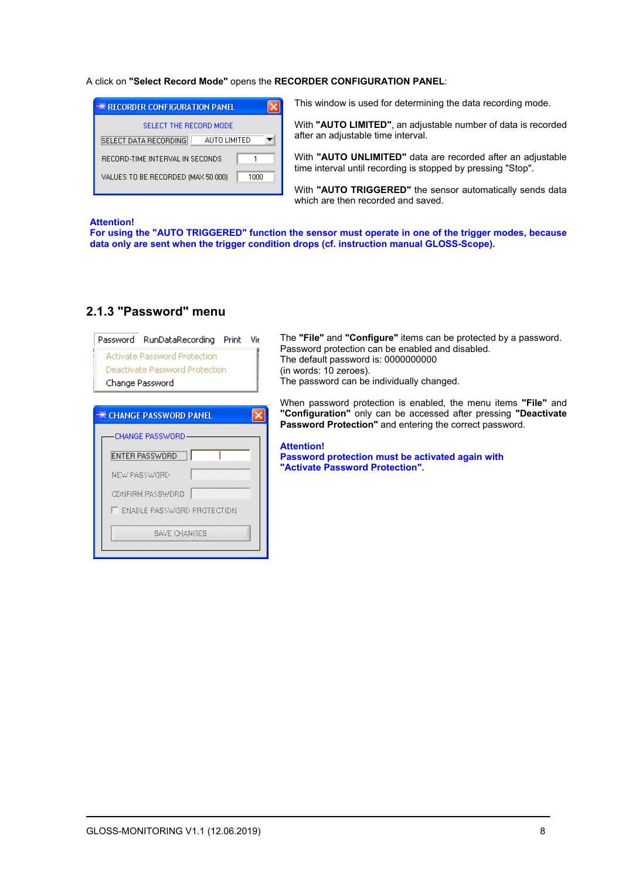#### A click on **"Select Record Mode"** opens the **RECORDER CONFIGURATION PANEL**:

| <b>** RECORDER CONFIGURATION PANEL</b>        |
|-----------------------------------------------|
| SELECT THE BECOBD MODE                        |
| <b>SELECT DATA RECORDING</b><br>ALITO LIMITED |
| RECORD-TIME INTERVAL IN SECONDS               |
| VALUES TO BE RECORDED (MAX 50 000)<br>1000    |

This window is used for determining the data recording mode.

With **"AUTO LIMITED"**, an adjustable number of data is recorded after an adjustable time interval.

With **"AUTO UNLIMITED"** data are recorded after an adjustable time interval until recording is stopped by pressing "Stop".

With **"AUTO TRIGGERED"** the sensor automatically sends data which are then recorded and saved.

#### **Attention!**

**For using the "AUTO TRIGGERED" function the sensor must operate in one of the trigger modes, because data only are sent when the trigger condition drops (cf. instruction manual GLOSS-Scope).**

| Password                        |                                                                              | RunDataRecording                              | Print | Vir |
|---------------------------------|------------------------------------------------------------------------------|-----------------------------------------------|-------|-----|
| Change Password                 | Activate Password Protection                                                 | Deactivate Password Protection                |       |     |
| <b>** CHANGE PASSWORD PANEL</b> |                                                                              |                                               |       |     |
|                                 | <b>CHANGE PASSWORD</b><br>ENTER PASSWORD<br>NEW PASSWORD<br>CONFIRM PASSWORD | IT ENABLE PASSWORD PROTECTION<br>SAVE OHONGES |       |     |

### **2.1.3 "Password" menu**

The **"File"** and **"Configure"** items can be protected by a password. Password protection can be enabled and disabled. The default password is: 0000000000 (in words: 10 zeroes). The password can be individually changed.

When password protection is enabled, the menu items **"File"** and **"Configuration"** only can be accessed after pressing **"Deactivate Password Protection"** and entering the correct password.

#### **Attention!**

**Password protection must be activated again with "Activate Password Protection".**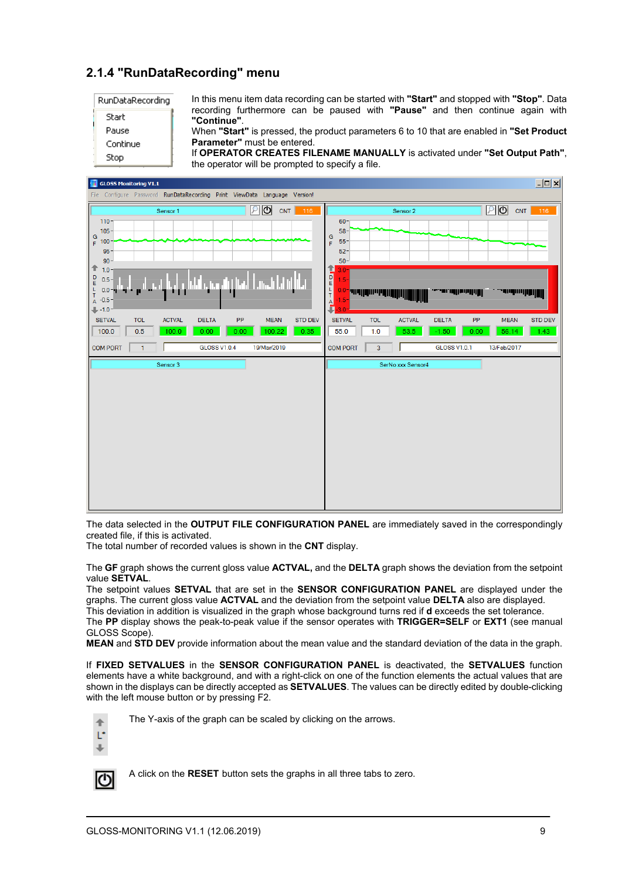# **2.1.4 "RunDataRecording" menu**

| RunDataRecording |
|------------------|
| Start            |
| Pause            |
| Continue         |
| Stop             |

In this menu item data recording can be started with **"Start"** and stopped with **"Stop"**. Data recording furthermore can be paused with **"Pause"** and then continue again with **"Continue"**.

When **"Start"** is pressed, the product parameters 6 to 10 that are enabled in **"Set Product Parameter"** must be entered.

If **OPERATOR CREATES FILENAME MANUALLY** is activated under **"Set Output Path"**, the operator will be prompted to specify a file.



The data selected in the **OUTPUT FILE CONFIGURATION PANEL** are immediately saved in the correspondingly created file, if this is activated.

The total number of recorded values is shown in the **CNT** display.

The **GF** graph shows the current gloss value **ACTVAL,** and the **DELTA** graph shows the deviation from the setpoint value **SETVAL**.

The setpoint values **SETVAL** that are set in the **SENSOR CONFIGURATION PANEL** are displayed under the graphs. The current gloss value **ACTVAL** and the deviation from the setpoint value **DELTA** also are displayed.

This deviation in addition is visualized in the graph whose background turns red if **d** exceeds the set tolerance.

The **PP** display shows the peak-to-peak value if the sensor operates with **TRIGGER=SELF** or **EXT1** (see manual GLOSS Scope).

**MEAN** and **STD DEV** provide information about the mean value and the standard deviation of the data in the graph.

If **FIXED SETVALUES** in the **SENSOR CONFIGURATION PANEL** is deactivated, the **SETVALUES** function elements have a white background, and with a right-click on one of the function elements the actual values that are shown in the displays can be directly accepted as **SETVALUES**. The values can be directly edited by double-clicking with the left mouse button or by pressing F2.



The Y-axis of the graph can be scaled by clicking on the arrows.



A click on the **RESET** button sets the graphs in all three tabs to zero.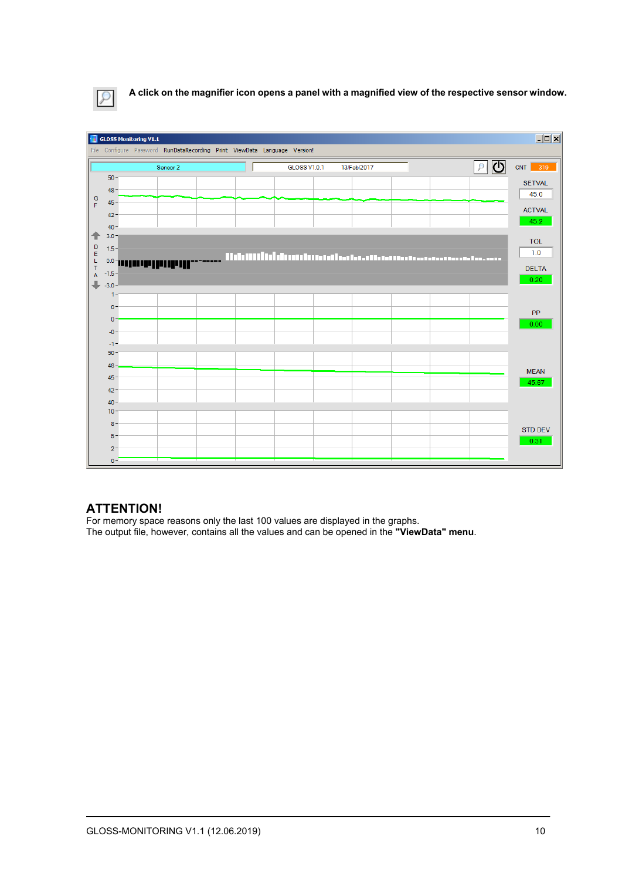

**A click on the magnifier icon opens a panel with a magnified view of the respective sensor window.**



## **ATTENTION!**

For memory space reasons only the last 100 values are displayed in the graphs. The output file, however, contains all the values and can be opened in the **"ViewData" menu**.